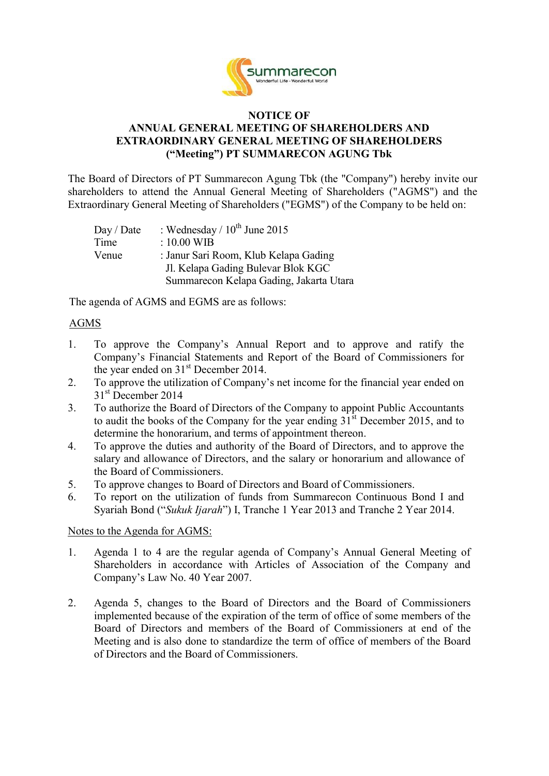

### **NOTICE OF ANNUAL GENERAL MEETING OF SHAREHOLDERS AND EXTRAORDINARY GENERAL MEETING OF SHAREHOLDERS ("Meeting") PT SUMMARECON AGUNG Tbk**

The Board of Directors of PT Summarecon Agung Tbk (the "Company") hereby invite our shareholders to attend the Annual General Meeting of Shareholders ("AGMS") and the Extraordinary General Meeting of Shareholders ("EGMS") of the Company to be held on:

| Day / Date | : Wednesday / $10^{th}$ June 2015       |
|------------|-----------------------------------------|
| Time       | $: 10.00$ WIB                           |
| Venue      | : Janur Sari Room, Klub Kelapa Gading   |
|            | J. Kelapa Gading Bulevar Blok KGC       |
|            | Summarecon Kelapa Gading, Jakarta Utara |

The agenda of AGMS and EGMS are as follows:

# AGMS

- 1. To approve the Company's Annual Report and to approve and ratify the Company's Financial Statements and Report of the Board of Commissioners for the year ended on 31<sup>st</sup> December 2014.
- 2. To approve the utilization of Company's net income for the financial year ended on 31<sup>st</sup> December 2014
- 3. To authorize the Board of Directors of the Company to appoint Public Accountants to audit the books of the Company for the year ending  $31<sup>st</sup>$  December 2015, and to determine the honorarium, and terms of appointment thereon.
- 4. To approve the duties and authority of the Board of Directors, and to approve the salary and allowance of Directors, and the salary or honorarium and allowance of the Board of Commissioners.
- 5. To approve changes to Board of Directors and Board of Commissioners.
- 6. To report on the utilization of funds from Summarecon Continuous Bond I and Syariah Bond ("*Sukuk Ijarah*") I, Tranche 1 Year 2013 and Tranche 2 Year 2014.

#### Notes to the Agenda for AGMS:

- 1. Agenda 1 to 4 are the regular agenda of Company's Annual General Meeting of Shareholders in accordance with Articles of Association of the Company and Company's Law No. 40 Year 2007.
- 2. Agenda 5, changes to the Board of Directors and the Board of Commissioners implemented because of the expiration of the term of office of some members of the Board of Directors and members of the Board of Commissioners at end of the Meeting and is also done to standardize the term of office of members of the Board of Directors and the Board of Commissioners.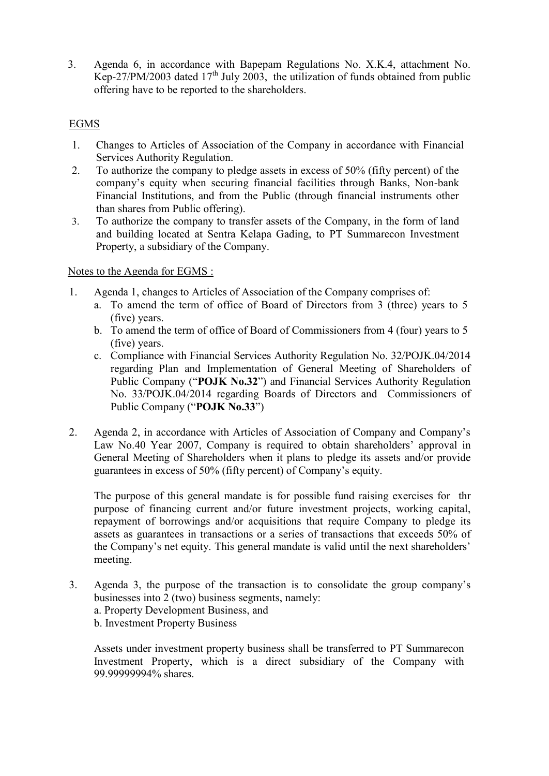3. Agenda 6, in accordance with Bapepam Regulations No. X.K.4, attachment No. Kep-27/PM/2003 dated  $17<sup>th</sup>$  July 2003, the utilization of funds obtained from public offering have to be reported to the shareholders.

# EGMS

- 1. Changes to Articles of Association of the Company in accordance with Financial Services Authority Regulation.
- 2. To authorize the company to pledge assets in excess of 50% (fifty percent) of the company's equity when securing financial facilities through Banks, Non-bank Financial Institutions, and from the Public (through financial instruments other than shares from Public offering).
- 3. To authorize the company to transfer assets of the Company, in the form of land and building located at Sentra Kelapa Gading, to PT Summarecon Investment Property, a subsidiary of the Company.

# Notes to the Agenda for EGMS :

- 1. Agenda 1, changes to Articles of Association of the Company comprises of:
	- a. To amend the term of office of Board of Directors from 3 (three) years to 5 (five) years.
	- b. To amend the term of office of Board of Commissioners from 4 (four) years to 5 (five) years.
	- c. Compliance with Financial Services Authority Regulation No. 32/POJK.04/2014 regarding Plan and Implementation of General Meeting of Shareholders of Public Company ("**POJK No.32**") and Financial Services Authority Regulation No. 33/POJK.04/2014 regarding Boards of Directors and Commissioners of Public Company ("**POJK No.33**")
- 2. Agenda 2, in accordance with Articles of Association of Company and Company's Law No.40 Year 2007, Company is required to obtain shareholders' approval in General Meeting of Shareholders when it plans to pledge its assets and/or provide guarantees in excess of 50% (fifty percent) of Company's equity.

The purpose of this general mandate is for possible fund raising exercises for thr purpose of financing current and/or future investment projects, working capital, repayment of borrowings and/or acquisitions that require Company to pledge its assets as guarantees in transactions or a series of transactions that exceeds 50% of the Company's net equity. This general mandate is valid until the next shareholders' meeting.

3. Agenda 3, the purpose of the transaction is to consolidate the group company's businesses into 2 (two) business segments, namely: a. Property Development Business, and b. Investment Property Business

Assets under investment property business shall be transferred to PT Summarecon Investment Property, which is a direct subsidiary of the Company with 99.99999994% shares.